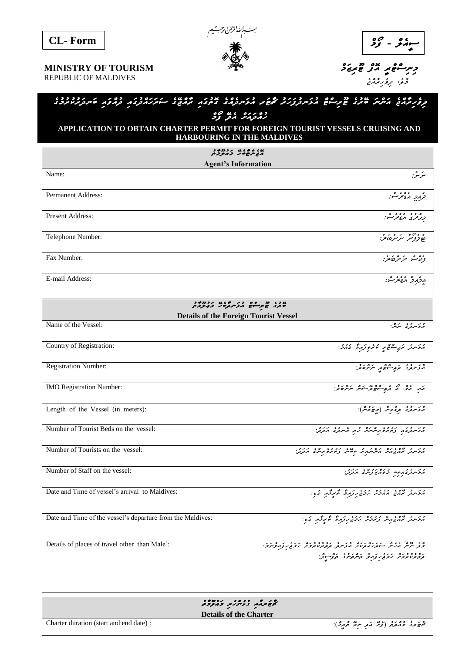



حِسِشَوْمٍ مِّرْحٌ مِّينَ كَلِمَ تَسْتَقْرِيمَ كَلِمَ بِهِ مِنْ كَلِمَ بِهِ مِنْ الْكُلْسَانَ AINISTRY OF TOURISM **MINISTRY OF TOURISM**

REPUBLIC OF MALDIVES

# *ީީީީމާލ،ެ ދިވެހިރާއްޖީެ ދިވެހިރާއްޖީީެއަންނީީަބޭރުގީެޓޫރިސްޓީްއުޅަނދުފަހަރީުޗާޓަރީއުޅަނދެއްގީެގޮތުގައީިރާއްޖޭގީެސަރަހައްދުގައީިދުއްވައީިބަނދަރުކުރުމީުގީެ*

*ހުއްދައަށީީްއެދީޭފޯމީް ީ*

### **APPLICATION TO OBTAIN CHARTER PERMIT FOR FOREIGN TOURIST VESSELS CRUISING AND HARBOURING IN THE MALDIVES**

| שופטו גנמטנ<br>גבית<br><b>Agent's Information</b> |                                          |  |
|---------------------------------------------------|------------------------------------------|--|
|                                                   |                                          |  |
| <b>Permanent Address:</b>                         | وٌ مردٍ مُعَمَّرْتُهُ:                   |  |
| <b>Present Address:</b>                           | $0 < 0 < \ldots < n$<br>צניצב והשיצי-יו. |  |
| Telephone Number:                                 | ، ، ، <i>، ، ، ، ، ، ،</i>               |  |
| Fax Number:                                       | ۇڭاشر سۇسۇھۇنى                           |  |
| E-mail Address:                                   | גְק <i>ֶּ</i> תְק גֹּצְיֹלִי:            |  |

| שני מ <sub>ת</sub> ים הליתקסי זרמים                        |                                                                                                                                                 |  |  |
|------------------------------------------------------------|-------------------------------------------------------------------------------------------------------------------------------------------------|--|--|
| <b>Details of the Foreign Tourist Vessel</b>               |                                                                                                                                                 |  |  |
| Name of the Vessel:                                        | د پر د د پرېژ:                                                                                                                                  |  |  |
| Country of Registration:                                   | גלינג תביים ו יתפ נול יילב:                                                                                                                     |  |  |
| <b>Registration Number:</b>                                | ور ده کري سرچ پر مرکز د                                                                                                                         |  |  |
| IMO Registration Number:                                   | بر ده ده د ده موج سوه بر مده بر د د                                                                                                             |  |  |
| Length of the Vessel (in meters):                          | مْ نَسْرَ مْرِ وَرِ مِنْ حَرْمَهُ إِلَيْهِ وَ عَلَيْهِ مِنْ أَبِي                                                                               |  |  |
| Number of Tourist Beds on the vessel:                      | ב מי בן נבנט קודק לא היה היי בטרי היה היה בין היה היה היה היה היה בין היה בין היה בין היה בין היה בין היה בין                                   |  |  |
| Number of Tourists on the vessel:                          | כני כי ממשונם ומסיק בין משיק בפשיק בין משונים.<br>מילייקה, ממשמיק מייקיק מייק ביטייק בבמקום מקדיק מהקדיק.                                       |  |  |
| Number of Staff on the vessel:                             | כן בגתם בפרש צייני דינד.<br>התיינדג הם כפרש צייני דינד,                                                                                         |  |  |
| Date and Time of vessel's arrival to Maldives:             | ور د ۵۶۰ روره درد در کرد څیرگه ک.                                                                                                               |  |  |
| Date and Time of the vessel's departure from the Maldives: | ور د ۱۵۶ م و دوره رده روره گهرگه که:                                                                                                            |  |  |
| Details of places of travel other than Male':              | יז דבם גם היותר הנוסינים בני בינדבר בנים ננגד לנקליקב.<br>בני ייקויו, הניו, יידוקנוקאיו, הניוקדו, ב <sub>מ</sub> מממותכת נכ <u>בן ק</u> רקליקב. |  |  |
|                                                            | נככככם נגז נגדל הסנכז נסים.<br>בסומעותכת נכבנות התאמית בניית                                                                                    |  |  |
|                                                            |                                                                                                                                                 |  |  |
| محيح برمه ودعود ومعرف<br><b>Details of the Charter</b>     |                                                                                                                                                 |  |  |
| Charter duration (start and end date) :                    | گھی مری وہ دو (عیش کر مرگ گھر گر):                                                                                                              |  |  |